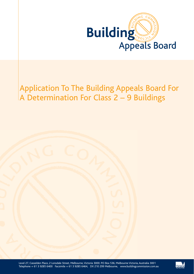

# Application To The Building Appeals Board For A Determination For Class 2 – 9 Buildings

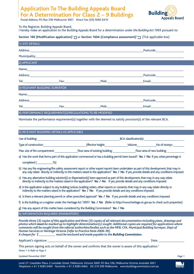# **Application To The Building Appeals Board For A Determination For Class 2 – 9 Buildings**



Postal Address: PO Box 536 Melbourne 3001 Direct Fax: (03) 9285 6410

## To the Registrar, Building Appeals Board,

I hereby make an application to the Building Appeals Board for a determination under *the Building Act 1993* pursuant to:

# **Section 160 (Modification application)**<sup>1</sup>  $\Box$  or **Section 160A (Compliance assessment)**<sup>2</sup>  $\Box$  (Tick applicable box)

| 1) SITE DETAILS |                                                                                                                                                                                                                               |  |                                                                                                               |  |  |
|-----------------|-------------------------------------------------------------------------------------------------------------------------------------------------------------------------------------------------------------------------------|--|---------------------------------------------------------------------------------------------------------------|--|--|
|                 |                                                                                                                                                                                                                               |  | Postcode:_____________________                                                                                |  |  |
|                 |                                                                                                                                                                                                                               |  |                                                                                                               |  |  |
| 2) APPLICANT    |                                                                                                                                                                                                                               |  |                                                                                                               |  |  |
|                 | Name: Name: Name: Name: Name: Name: Name: Name: Name: Name: Name: Name: Name: Name: Name: Name: Name: Name: Name: Name: Name: Name: Name: Name: Name: Name: Name: Name: Name: Name: Name: Name: Name: Name: Name: Name: Name: |  |                                                                                                               |  |  |
|                 |                                                                                                                                                                                                                               |  | Postcode:_____________________                                                                                |  |  |
|                 |                                                                                                                                                                                                                               |  |                                                                                                               |  |  |
|                 | 3) RELEVANT BUILDING SURVEYOR                                                                                                                                                                                                 |  |                                                                                                               |  |  |
|                 |                                                                                                                                                                                                                               |  |                                                                                                               |  |  |
|                 |                                                                                                                                                                                                                               |  | Postcode:_____________________                                                                                |  |  |
|                 |                                                                                                                                                                                                                               |  |                                                                                                               |  |  |
|                 | 4) PERFORMANCE REQUIREMENT(S)/REGULATIONS TO BE MODIFIED                                                                                                                                                                      |  |                                                                                                               |  |  |
|                 |                                                                                                                                                                                                                               |  | Nominate the performance requirement(s) together with the deemed to satisfy provision(s) of the relevant BCA. |  |  |
|                 | 5) RELEVANT BUILDING DETAILS AS APPLICABLE                                                                                                                                                                                    |  |                                                                                                               |  |  |
|                 |                                                                                                                                                                                                                               |  |                                                                                                               |  |  |

Type of construction: Effective height: Volume: No of storeys:

Max. size of fire compartment: Floor area of existing building: Floor area of new building:

a) Has the work that forms part of this application commenced or has a building permit been issued? **Yes / No** If yes, what percentage is

completed ( \_\_\_\_\_\_\_\_\_\_\_\_%)

- b) Has any fire engineering/fire safety assessment report or other expert reports been undertaken as part of this development, that may in any way relate directly or indirectly to the matters raised in the application? **Yes / No** If yes, provide details and any conditions imposed.
- c) Has any alternative building solution(s) or dispensation(s) been approved as part of this development, that may in any way relate directly or indirectly to the matters raised in the application? **Yes / No** If yes, provide details and any conditions imposed.
- d) Is the application subject to any building notices, building orders, other reports or consents, that may in any way relate directly or indirectly to the matters raised in the application? **Yes / No** If yes, provide details and any conditions imposed.
- e) Is there a relevant planning permit or other prescribed approval? **Yes / No** If yes, provide details and any conditions imposed.
- f) Is the building on a register under the Heritage Act 1995? **Yes / No** (Refer to http://www.heritage.vic.gov.au to check such properties)
- g) Has any aspect of this matter been considered by the Building Commission? **Yes / No**

# 6) INFORMATION REQUIRED (MANDATORY)

*Provide three (3) copies of this application and three (3) copies of all relevant documentation including plans, drawings and photos which must be marked up to highlight determination(s) sought. Additional copies are required for applications where comments will be sought from the referral authorities/bodies such as the MFB, CFA, Municipal Building Surveyor, Dept of Human Services or Heritage Victoria (refer to Practice Note 2006-39).*

*A cheque for \$ \_\_\_\_\_\_\_\_\_\_\_ must be enclosed and made payable to the Building Commission.*

Applicant's signature: Date:

| This person signing acts on behalf of the owner and confirms that the owner is aware of this application. <sup>3</sup> |  |  |  |  |  |  |  |
|------------------------------------------------------------------------------------------------------------------------|--|--|--|--|--|--|--|
| Notes 1-3: Refer to Page 3                                                                                             |  |  |  |  |  |  |  |

Updated November 2007 Page 1



Victoria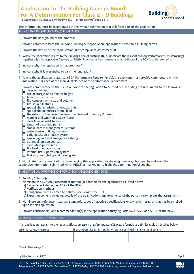# **Application To The Building Appeals Board For A Determination For Class 2 – 9 Buildings**



Postal Address: PO Box 536 Melbourne 3001 Direct Fax: (03) 9285 6410

This information must be incorporated in the written submission that will form part of the application<sup>4</sup> A) GENERAL REQUIREMENTS (MANDATORY)

- 1) Provide the background of the proposal.
- 2) Provide comments from the Relevant Building Surveyor where applications relate to a building permit.
- 3) Provide the nature of the modification(s) or compliance assessment(s).
- 4) Where the application relates to the Building Code of Australia (BCA) nominate the relevant primary Performance Requirement(s) together with the applicable Deemed to Satisfy Provision(s). Also nominate which edition of the BCA is to be referred to.
- 5) Indicate why the regulation is inappropriate?
- 6) Indicate why it is reasonable to vary the regulation?
- 7) Where the application relates to a BCA Performance Requirement(s), the applicant must provide commentary on the implications for each of the individual clauses of the Performance Requirement.
- 8) Provide commentary on the issues relevant to the regulation to be modified, including but not limited to the following:  $\Box$  class of building
	- $\Box$  rise in storeys and effective height
	- $\Box$  type of construction
	- $\Box$  fire compartment size and volume
	- $\Box$  fire-source features
	- $\overline{\Box}$  special characteristics of occupantnts
	- $\square$  special characteristics of fuel load
	- $\Box$  the extent of the deviation; from the Deemed to Satisfy Provision
	- $\Box$  number and width of escape routes
	- $\Box$  clear lines of sight to an exit
	- $\Box$  length of dead-end paths
	- $\square$  smoke hazard management systems
	- performance of lining materials
	- early detection or alarm system  $\square$  egress signage and emergency lighting
	- $\square$  potential ignition sources
	- $\square$  evacuation procedures
	- $\Box$  fire load in escape routes
	- $\Box$  internal fire suppression system
	- $\Box$  first aid, fire fighting and training staff.

9) Nominate the documentation accompanying this application, i.e. drawing numbers, photographs and any other supportive information submitted which **MUST** be marked up to highlight determination(s) sought.

B) ADDITIONAL INFORMATION FOR S160A APPLICATION(S) ONLY

- 1) Building Solution(s)
	- Nominate the BCA A0.9 assessment method(s) adopted for the application as listed below: -
	- (a) Evidence as listed under A2.2 of the BCA
	- (b) Verification methods
	- (c) Comparison with Deemed to Satisfy Provisions of the BCA
	- (d) Expert judgement including details of the qualifications and experience of the person carrying out the assessment.
- 2) Nominate any reference materials, standards, codes of practice, specifications or any other research that has been relied upon in this application.
- 3) Provide conclusion(s) and recommendation(s) in the application satisfying Parts AO.5, AO.8 and A0.10 of the BCA.

#### C) ESSENTIAL SAFETY MEASURES

If an application relevant to the request affects an essential safety measure(s), please formulate a similar table as detailed below.

| essential safety measures | Description (design & installation standards)   Maintenance requirements |  |
|---------------------------|--------------------------------------------------------------------------|--|
|                           |                                                                          |  |
|                           |                                                                          |  |
|                           |                                                                          |  |

*Note 4: Refer to Page 3*

Updated November 2007 Page 2



Victoria